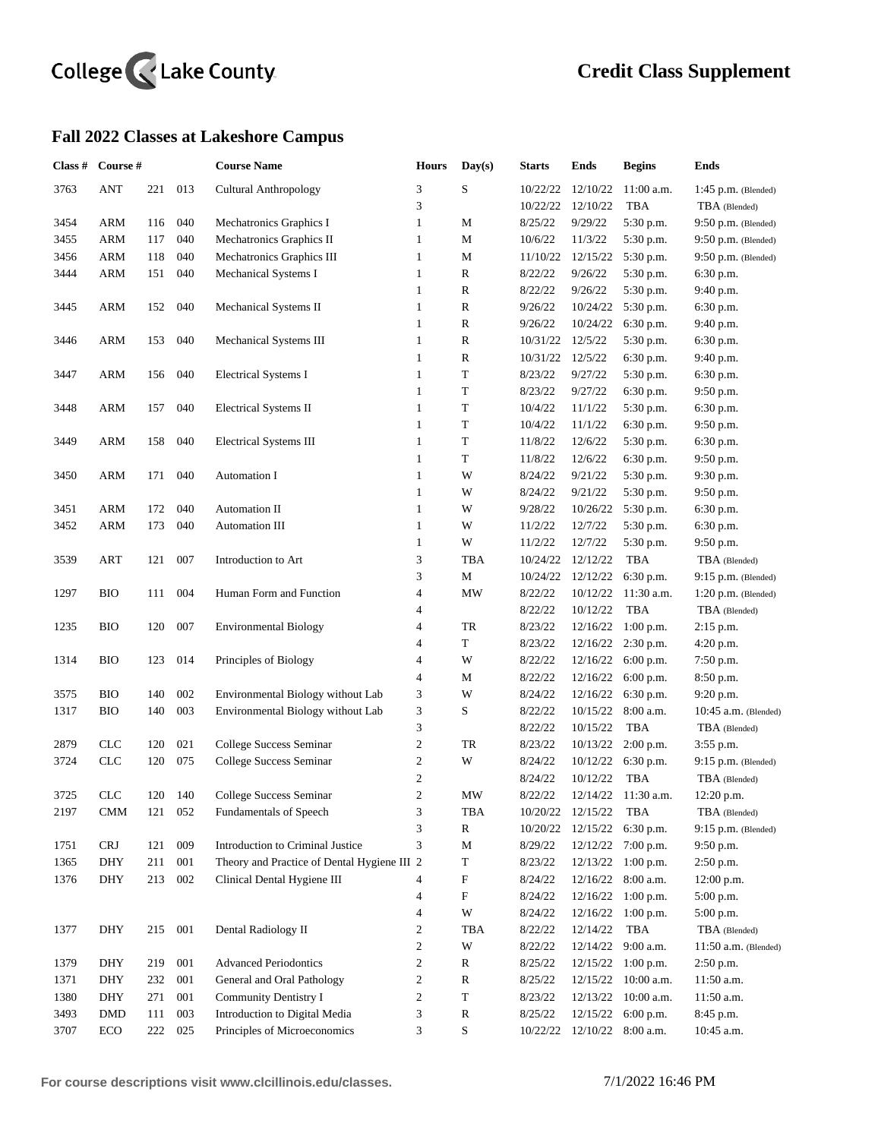## College <<<<<</>Lake County

## **Fall 2022 Classes at Lakeshore Campus**

| Class # | Course #   |     |         | <b>Course Name</b>                          | <b>Hours</b>             | Day(s)                    | <b>Starts</b> | Ends                 | <b>Begins</b> | <b>Ends</b>            |
|---------|------------|-----|---------|---------------------------------------------|--------------------------|---------------------------|---------------|----------------------|---------------|------------------------|
| 3763    | <b>ANT</b> | 221 | 013     | <b>Cultural Anthropology</b>                | 3                        | $\mathbf S$               | 10/22/22      | 12/10/22             | $11:00$ a.m.  | $1:45$ p.m. (Blended)  |
|         |            |     |         |                                             | 3                        |                           | 10/22/22      | 12/10/22             | <b>TBA</b>    | TBA (Blended)          |
| 3454    | ARM        | 116 | 040     | Mechatronics Graphics I                     | $\mathbf{1}$             | М                         | 8/25/22       | 9/29/22              | 5:30 p.m.     | $9:50$ p.m. (Blended)  |
| 3455    | ARM        | 117 | 040     | Mechatronics Graphics II                    | $\mathbf{1}$             | M                         | 10/6/22       | 11/3/22              | 5:30 p.m.     | $9:50$ p.m. (Blended)  |
| 3456    | ARM        | 118 | 040     | Mechatronics Graphics III                   | $\mathbf{1}$             | $\mathbf M$               | 11/10/22      | 12/15/22             | 5:30 p.m.     | $9:50$ p.m. (Blended)  |
| 3444    | ARM        | 151 | 040     | Mechanical Systems I                        | 1                        | $\mathbb{R}$              | 8/22/22       | 9/26/22              | 5:30 p.m.     | 6:30 p.m.              |
|         |            |     |         |                                             | 1                        | $\mathbb{R}$              | 8/22/22       | 9/26/22              | 5:30 p.m.     | 9:40 p.m.              |
| 3445    | ARM        | 152 | 040     | Mechanical Systems II                       | $\mathbf{1}$             | R                         | 9/26/22       | 10/24/22             | 5:30 p.m.     | 6:30 p.m.              |
|         |            |     |         |                                             | $\mathbf{1}$             | ${\bf R}$                 | 9/26/22       | 10/24/22             | 6:30 p.m.     | 9:40 p.m.              |
| 3446    | ARM        | 153 | 040     | Mechanical Systems III                      | 1                        | ${\bf R}$                 | 10/31/22      | 12/5/22              | 5:30 p.m.     | 6:30 p.m.              |
|         |            |     |         |                                             | $\mathbf{1}$             | ${\bf R}$                 | 10/31/22      | 12/5/22              | 6:30 p.m.     | 9:40 p.m.              |
| 3447    | ARM        | 156 | 040     | <b>Electrical Systems I</b>                 | $\mathbf{1}$             | $\mathbf T$               | 8/23/22       | 9/27/22              | 5:30 p.m.     | 6:30 p.m.              |
|         |            |     |         |                                             | $\mathbf{1}$             | T                         | 8/23/22       | 9/27/22              | 6:30 p.m.     | 9:50 p.m.              |
| 3448    | ARM        | 157 | 040     | Electrical Systems II                       | $\mathbf{1}$             | $\mathbf T$               | 10/4/22       | 11/1/22              | 5:30 p.m.     | 6:30 p.m.              |
|         |            |     |         |                                             | $\mathbf{1}$             | $\mathbf T$               | 10/4/22       | 11/1/22              | 6:30 p.m.     | 9:50 p.m.              |
| 3449    | ARM        | 158 | 040     | <b>Electrical Systems III</b>               | $\mathbf{1}$             | T                         | 11/8/22       | 12/6/22              | 5:30 p.m.     | 6:30 p.m.              |
|         |            |     |         |                                             | 1                        | $\mathbf T$               | 11/8/22       | 12/6/22              | 6:30 p.m.     | 9:50 p.m.              |
| 3450    | ARM        | 171 | 040     | Automation I                                | $\mathbf{1}$             | W                         | 8/24/22       | 9/21/22              | 5:30 p.m.     | 9:30 p.m.              |
|         |            |     |         |                                             | $\mathbf{1}$             | W                         | 8/24/22       | 9/21/22              | 5:30 p.m.     | 9:50 p.m.              |
| 3451    | <b>ARM</b> | 172 | 040     | Automation II                               | $\mathbf{1}$             | W                         | 9/28/22       | 10/26/22             | 5:30 p.m.     | 6:30 p.m.              |
| 3452    | <b>ARM</b> | 173 | 040     | Automation III                              | $\mathbf{1}$             | W                         | 11/2/22       | 12/7/22              | 5:30 p.m.     | 6:30 p.m.              |
|         |            |     |         |                                             | $\mathbf{1}$             | W                         | 11/2/22       | 12/7/22              | 5:30 p.m.     | 9:50 p.m.              |
| 3539    | <b>ART</b> | 121 | 007     | Introduction to Art                         | 3                        | TBA                       | 10/24/22      | 12/12/22             | TBA           | TBA (Blended)          |
|         |            |     |         |                                             | 3                        | $\mathbf M$               | 10/24/22      | 12/12/22             | 6:30 p.m.     | $9:15$ p.m. (Blended)  |
| 1297    | <b>BIO</b> | 111 | 004     | Human Form and Function                     | $\overline{\mathbf{4}}$  | $\text{MW}{}$             | 8/22/22       | 10/12/22             | 11:30 a.m.    | $1:20$ p.m. (Blended)  |
|         |            |     |         |                                             | $\overline{4}$           |                           | 8/22/22       | 10/12/22             | <b>TBA</b>    | TBA (Blended)          |
| 1235    | <b>BIO</b> | 120 | 007     | <b>Environmental Biology</b>                | 4                        | TR                        | 8/23/22       | 12/16/22             | $1:00$ p.m.   | 2:15 p.m.              |
|         |            |     |         |                                             | 4                        | $\mathbf T$               | 8/23/22       | 12/16/22             | 2:30 p.m.     | 4:20 p.m.              |
| 1314    | BIO        | 123 | 014     | Principles of Biology                       | $\overline{\mathcal{L}}$ | W                         | 8/22/22       | 12/16/22             | 6:00 p.m.     | 7:50 p.m.              |
|         |            |     |         |                                             | $\overline{4}$           | M                         | 8/22/22       | 12/16/22             | 6:00 p.m.     | 8:50 p.m.              |
| 3575    | <b>BIO</b> | 140 | 002     | Environmental Biology without Lab           | 3                        | W                         | 8/24/22       | 12/16/22             | 6:30 p.m.     | 9:20 p.m.              |
| 1317    | <b>BIO</b> | 140 | 003     | Environmental Biology without Lab           | 3                        | S                         | 8/22/22       | 10/15/22             | 8:00 a.m.     | $10:45$ a.m. (Blended) |
|         |            |     |         |                                             | 3                        |                           | 8/22/22       | 10/15/22             | TBA           | TBA (Blended)          |
| 2879    | <b>CLC</b> | 120 | 021     | College Success Seminar                     | $\sqrt{2}$               | TR                        | 8/23/22       | 10/13/22             | $2:00$ p.m.   | 3:55 p.m.              |
| 3724    | <b>CLC</b> | 120 | 075     | College Success Seminar                     | $\sqrt{2}$               | W                         | 8/24/22       | 10/12/22             | 6:30 p.m.     | $9:15$ p.m. (Blended)  |
|         |            |     |         |                                             | $\boldsymbol{2}$         |                           | 8/24/22       | 10/12/22             | <b>TBA</b>    | TBA (Blended)          |
| 3725    | <b>CLC</b> | 120 | 140     | College Success Seminar                     | $\mathfrak{2}$           | MW                        | 8/22/22       | 12/14/22             | $11:30$ a.m.  | 12:20 p.m.             |
| 2197    | CMM        | 121 | 052     | Fundamentals of Speech                      | 3                        | TBA                       | 10/20/22      | 12/15/22             | TBA           | TBA (Blended)          |
|         |            |     |         |                                             | 3                        | $\mathbb{R}$              | 10/20/22      | 12/15/22             | 6:30 p.m.     | $9:15$ p.m. (Blended)  |
| 1751    | <b>CRJ</b> | 121 | 009     | Introduction to Criminal Justice            | 3                        | $\mathbf M$               | 8/29/22       | 12/12/22             | $7:00$ p.m.   | 9:50 p.m.              |
| 1365    | DHY        | 211 | $001\,$ | Theory and Practice of Dental Hygiene III 2 |                          | $\mathbf T$               | 8/23/22       | 12/13/22             | $1:00$ p.m.   | 2:50 p.m.              |
| 1376    | DHY        | 213 | 002     | Clinical Dental Hygiene III                 | 4                        | F                         | 8/24/22       | 12/16/22             | 8:00 a.m.     | 12:00 p.m.             |
|         |            |     |         |                                             | $\overline{\mathcal{L}}$ | $\boldsymbol{\mathrm{F}}$ | 8/24/22       | 12/16/22             | $1:00$ p.m.   | 5:00 p.m.              |
|         |            |     |         |                                             | 4                        | W                         | 8/24/22       | 12/16/22             | $1:00$ p.m.   | 5:00 p.m.              |
| 1377    | <b>DHY</b> | 215 | 001     | Dental Radiology II                         | $\overline{c}$           | TBA                       | 8/22/22       | 12/14/22             | TBA           | TBA (Blended)          |
|         |            |     |         |                                             | $\overline{c}$           | W                         | 8/22/22       | 12/14/22             | 9:00 a.m.     | $11:50$ a.m. (Blended) |
| 1379    | DHY        | 219 | 001     | <b>Advanced Periodontics</b>                | $\overline{c}$           | R                         | 8/25/22       | 12/15/22             | $1:00$ p.m.   | $2:50$ p.m.            |
| 1371    | DHY        | 232 | 001     | General and Oral Pathology                  | 2                        | ${\bf R}$                 | 8/25/22       | 12/15/22             | $10:00$ a.m.  | 11:50 a.m.             |
| 1380    | DHY        | 271 | 001     | Community Dentistry I                       | $\mathbf{c}$             | $\mathbf T$               | 8/23/22       | 12/13/22             | $10:00$ a.m.  | 11:50 a.m.             |
| 3493    | <b>DMD</b> | 111 | 003     | Introduction to Digital Media               | 3                        | ${\bf R}$                 | 8/25/22       | 12/15/22             | $6:00$ p.m.   | 8:45 p.m.              |
| 3707    | ECO        | 222 | 025     | Principles of Microeconomics                | 3                        | $\mathbf S$               | 10/22/22      | $12/10/22$ 8:00 a.m. |               | 10:45 a.m.             |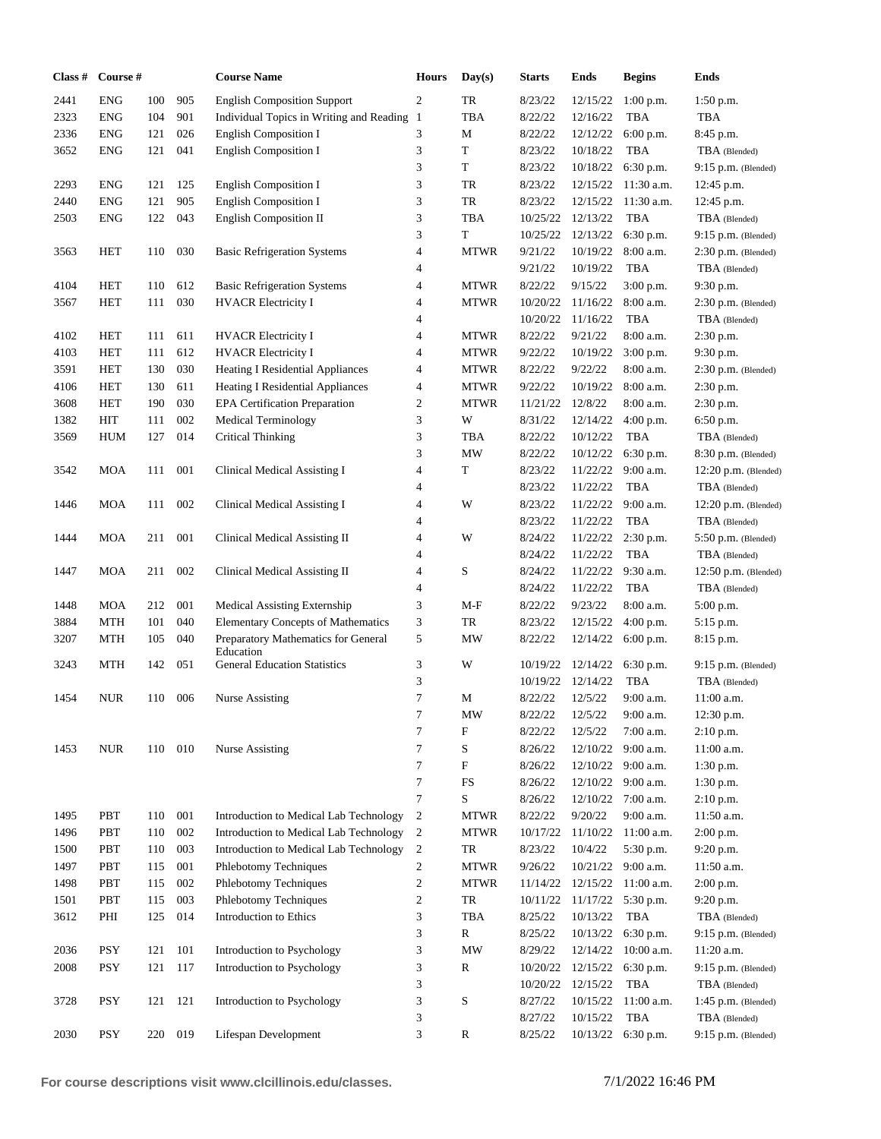| Class # | Course #   |     |     | <b>Course Name</b>                               | <b>Hours</b>     | Day(s)                          | <b>Starts</b> | Ends     | <b>Begins</b>        | <b>Ends</b>            |
|---------|------------|-----|-----|--------------------------------------------------|------------------|---------------------------------|---------------|----------|----------------------|------------------------|
| 2441    | <b>ENG</b> | 100 | 905 | <b>English Composition Support</b>               | $\overline{c}$   | TR                              | 8/23/22       | 12/15/22 | 1:00 p.m.            | $1:50$ p.m.            |
| 2323    | <b>ENG</b> | 104 | 901 | Individual Topics in Writing and Reading 1       |                  | TBA                             | 8/22/22       | 12/16/22 | <b>TBA</b>           | <b>TBA</b>             |
| 2336    | <b>ENG</b> | 121 | 026 | English Composition I                            | 3                | М                               | 8/22/22       | 12/12/22 | 6:00 p.m.            | 8:45 p.m.              |
| 3652    | <b>ENG</b> | 121 | 041 | <b>English Composition I</b>                     | 3                | $\mathbf T$                     | 8/23/22       | 10/18/22 | <b>TBA</b>           | TBA (Blended)          |
|         |            |     |     |                                                  | 3                | T                               | 8/23/22       | 10/18/22 | 6:30 p.m.            | $9:15$ p.m. (Blended)  |
| 2293    | <b>ENG</b> | 121 | 125 | <b>English Composition I</b>                     | 3                | TR                              | 8/23/22       | 12/15/22 | 11:30 a.m.           | 12:45 p.m.             |
| 2440    | <b>ENG</b> | 121 | 905 | <b>English Composition I</b>                     | 3                | TR                              | 8/23/22       | 12/15/22 | 11:30 a.m.           | 12:45 p.m.             |
| 2503    | <b>ENG</b> | 122 | 043 | English Composition II                           | 3                | TBA                             | 10/25/22      | 12/13/22 | <b>TBA</b>           | TBA (Blended)          |
|         |            |     |     |                                                  | 3                | $\mathbf T$                     | 10/25/22      | 12/13/22 | 6:30 p.m.            | $9:15$ p.m. (Blended)  |
| 3563    | HET        | 110 | 030 | <b>Basic Refrigeration Systems</b>               | 4                | <b>MTWR</b>                     | 9/21/22       | 10/19/22 | 8:00 a.m.            | $2:30$ p.m. (Blended)  |
|         |            |     |     |                                                  | 4                |                                 | 9/21/22       | 10/19/22 | <b>TBA</b>           | TBA (Blended)          |
| 4104    | HET        | 110 | 612 | <b>Basic Refrigeration Systems</b>               | 4                | <b>MTWR</b>                     | 8/22/22       | 9/15/22  | 3:00 p.m.            | 9:30 p.m.              |
| 3567    | HET        | 111 | 030 | <b>HVACR Electricity I</b>                       | 4                | <b>MTWR</b>                     | 10/20/22      | 11/16/22 | 8:00 a.m.            | $2:30$ p.m. (Blended)  |
|         |            |     |     |                                                  | 4                |                                 | 10/20/22      | 11/16/22 | TBA                  | TBA (Blended)          |
| 4102    | HET        | 111 | 611 | <b>HVACR</b> Electricity I                       | 4                | <b>MTWR</b>                     | 8/22/22       | 9/21/22  | 8:00 a.m.            | 2:30 p.m.              |
| 4103    | <b>HET</b> | 111 | 612 | <b>HVACR Electricity I</b>                       | 4                | <b>MTWR</b>                     | 9/22/22       | 10/19/22 | 3:00 p.m.            | 9:30 p.m.              |
| 3591    | <b>HET</b> | 130 | 030 | Heating I Residential Appliances                 | 4                | <b>MTWR</b>                     | 8/22/22       | 9/22/22  | 8:00 a.m.            | $2:30$ p.m. (Blended)  |
| 4106    | <b>HET</b> | 130 | 611 | Heating I Residential Appliances                 | 4                | <b>MTWR</b>                     | 9/22/22       | 10/19/22 | $8:00$ a.m.          | 2:30 p.m.              |
| 3608    | <b>HET</b> | 190 | 030 | <b>EPA Certification Preparation</b>             | $\mathbf{c}$     | <b>MTWR</b>                     | 11/21/22      | 12/8/22  | 8:00 a.m.            | 2:30 p.m.              |
| 1382    | HIT        | 111 | 002 | Medical Terminology                              | 3                | W                               | 8/31/22       | 12/14/22 | 4:00 p.m.            | 6:50 p.m.              |
| 3569    | <b>HUM</b> | 127 | 014 | <b>Critical Thinking</b>                         | 3                | <b>TBA</b>                      | 8/22/22       | 10/12/22 | TBA                  | TBA (Blended)          |
|         |            |     |     |                                                  | 3                | <b>MW</b>                       | 8/22/22       | 10/12/22 | 6:30 p.m.            | $8:30$ p.m. (Blended)  |
| 3542    | <b>MOA</b> | 111 | 001 | Clinical Medical Assisting I                     | 4                | T                               | 8/23/22       | 11/22/22 | $9:00$ a.m.          | $12:20$ p.m. (Blended) |
|         |            |     |     |                                                  | 4                |                                 | 8/23/22       | 11/22/22 | <b>TBA</b>           | TBA (Blended)          |
| 1446    | <b>MOA</b> | 111 | 002 | Clinical Medical Assisting I                     | 4                | W                               | 8/23/22       | 11/22/22 | 9:00 a.m.            | 12:20 p.m. (Blended)   |
|         |            |     |     |                                                  | 4                |                                 | 8/23/22       | 11/22/22 | <b>TBA</b>           | TBA (Blended)          |
| 1444    | <b>MOA</b> | 211 | 001 | Clinical Medical Assisting II                    | 4                | W                               | 8/24/22       | 11/22/22 | 2:30 p.m.            | 5:50 p.m. (Blended)    |
|         |            |     |     |                                                  | 4                |                                 | 8/24/22       | 11/22/22 | <b>TBA</b>           | TBA (Blended)          |
| 1447    | <b>MOA</b> | 211 | 002 | Clinical Medical Assisting II                    | 4                | $\mathbf S$                     | 8/24/22       | 11/22/22 | 9:30 a.m.            | $12:50$ p.m. (Blended) |
|         |            |     |     |                                                  | 4                |                                 | 8/24/22       | 11/22/22 | <b>TBA</b>           | TBA (Blended)          |
| 1448    | <b>MOA</b> | 212 | 001 | Medical Assisting Externship                     | 3                | $M-F$                           | 8/22/22       | 9/23/22  | 8:00 a.m.            | 5:00 p.m.              |
| 3884    | <b>MTH</b> | 101 | 040 | <b>Elementary Concepts of Mathematics</b>        | 3                | TR                              | 8/23/22       | 12/15/22 | 4:00 p.m.            | 5:15 p.m.              |
| 3207    | <b>MTH</b> | 105 | 040 | Preparatory Mathematics for General              | 5                | MW                              | 8/22/22       | 12/14/22 | 6:00 p.m.            | $8:15$ p.m.            |
| 3243    | <b>MTH</b> | 142 | 051 | Education<br><b>General Education Statistics</b> | 3                | W                               | 10/19/22      | 12/14/22 | 6:30 p.m.            | $9:15$ p.m. (Blended)  |
|         |            |     |     |                                                  | 3                |                                 | 10/19/22      | 12/14/22 | <b>TBA</b>           | TBA (Blended)          |
| 1454    | <b>NUR</b> | 110 | 006 | Nurse Assisting                                  | 7                | M                               | 8/22/22       | 12/5/22  | 9:00 a.m.            | 11:00 a.m.             |
|         |            |     |     |                                                  | 7                | $\ensuremath{\text{MW}}\xspace$ | 8/22/22       | 12/5/22  | 9:00 a.m.            | 12:30 p.m.             |
|         |            |     |     |                                                  | 7                | F                               | 8/22/22       | 12/5/22  | 7:00 a.m.            | $2:10$ p.m.            |
| 1453    | <b>NUR</b> | 110 | 010 | <b>Nurse Assisting</b>                           | 7                | $\mathbf S$                     | 8/26/22       | 12/10/22 | 9:00 a.m.            | 11:00 a.m.             |
|         |            |     |     |                                                  | $\tau$           | $\boldsymbol{\mathrm{F}}$       | 8/26/22       |          | $12/10/22$ 9:00 a.m. | 1:30 p.m.              |
|         |            |     |     |                                                  | $\tau$           | ${\rm FS}$                      | 8/26/22       |          | $12/10/22$ 9:00 a.m. | 1:30 p.m.              |
|         |            |     |     |                                                  | $\tau$           | $\mathbf S$                     | 8/26/22       | 12/10/22 | $7:00$ a.m.          | $2:10$ p.m.            |
| 1495    | PBT        | 110 | 001 | Introduction to Medical Lab Technology           | $\overline{c}$   | <b>MTWR</b>                     | 8/22/22       | 9/20/22  | $9:00$ a.m.          | 11:50 a.m.             |
| 1496    | PBT        | 110 | 002 | Introduction to Medical Lab Technology           | $\boldsymbol{2}$ | <b>MTWR</b>                     | 10/17/22      | 11/10/22 | $11:00$ a.m.         | 2:00 p.m.              |
| 1500    | PBT        | 110 | 003 | Introduction to Medical Lab Technology           | $\overline{c}$   | TR                              | 8/23/22       | 10/4/22  | 5:30 p.m.            | 9:20 p.m.              |
| 1497    | PBT        | 115 | 001 | Phlebotomy Techniques                            | 2                | <b>MTWR</b>                     | 9/26/22       | 10/21/22 | 9:00 a.m.            | 11:50 a.m.             |
| 1498    | PBT        | 115 | 002 | Phlebotomy Techniques                            | 2                | <b>MTWR</b>                     | 11/14/22      | 12/15/22 | $11:00$ a.m.         | 2:00 p.m.              |
| 1501    | PBT        | 115 | 003 | Phlebotomy Techniques                            | 2                | TR                              | 10/11/22      | 11/17/22 | 5:30 p.m.            | 9:20 p.m.              |
| 3612    | PHI        | 125 | 014 | Introduction to Ethics                           | 3                | <b>TBA</b>                      | 8/25/22       | 10/13/22 | <b>TBA</b>           | TBA (Blended)          |
|         |            |     |     |                                                  | 3                | $\mathbb{R}$                    | 8/25/22       | 10/13/22 | 6:30 p.m.            | $9:15$ p.m. (Blended)  |
| 2036    | <b>PSY</b> | 121 | 101 | Introduction to Psychology                       | 3                | <b>MW</b>                       | 8/29/22       | 12/14/22 | $10:00$ a.m.         | $11:20$ a.m.           |
| 2008    | PSY        | 121 | 117 | Introduction to Psychology                       | 3                | R                               | 10/20/22      | 12/15/22 | 6:30 p.m.            | $9:15$ p.m. (Blended)  |
|         |            |     |     |                                                  | 3                |                                 | 10/20/22      | 12/15/22 | TBA                  | TBA (Blended)          |
| 3728    | PSY        | 121 | 121 | Introduction to Psychology                       | 3                | $\mathbf S$                     | 8/27/22       | 10/15/22 | 11:00 a.m.           | $1:45$ p.m. (Blended)  |
|         |            |     |     |                                                  | 3                |                                 | 8/27/22       | 10/15/22 | <b>TBA</b>           | TBA (Blended)          |
| 2030    | PSY        | 220 | 019 | Lifespan Development                             | 3                | ${\bf R}$                       | 8/25/22       | 10/13/22 | 6:30 p.m.            | $9:15$ p.m. (Blended)  |
|         |            |     |     |                                                  |                  |                                 |               |          |                      |                        |